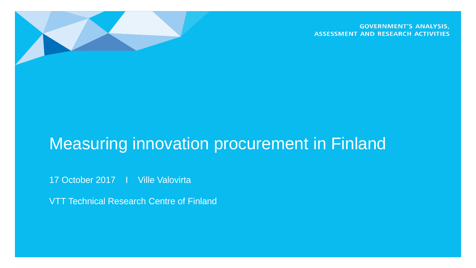

**GOVERNMENT'S ANALYSIS, ASSESSMENT AND RESEARCH ACTIVITIES** 

## Measuring innovation procurement in Finland

17 October 2017 I Ville Valovirta

VTT Technical Research Centre of Finland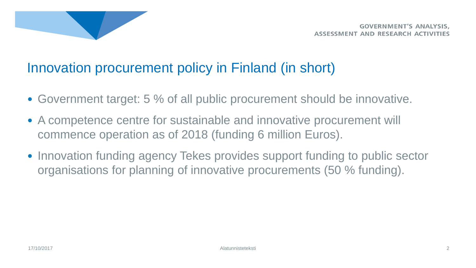

### Innovation procurement policy in Finland (in short)

- Government target: 5 % of all public procurement should be innovative.
- A competence centre for sustainable and innovative procurement will commence operation as of 2018 (funding 6 million Euros).
- Innovation funding agency Tekes provides support funding to public sector organisations for planning of innovative procurements (50 % funding).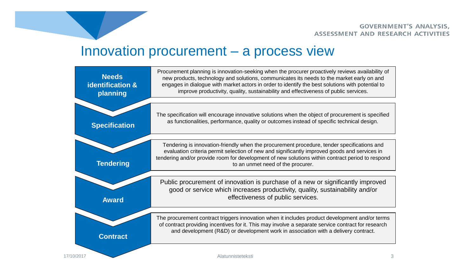#### Innovation procurement – a process view

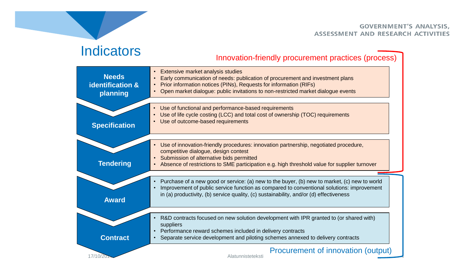### **Indicators**

#### Innovation-friendly procurement practices (process)

| <b>Needs</b><br>identification &<br>planning | • Extensive market analysis studies<br>Early communication of needs: publication of procurement and investment plans<br>Prior information notices (PINs), Requests for information (RIFs)<br>Open market dialogue: public invitations to non-restricted market dialogue events      |
|----------------------------------------------|-------------------------------------------------------------------------------------------------------------------------------------------------------------------------------------------------------------------------------------------------------------------------------------|
| <b>Specification</b>                         | Use of functional and performance-based requirements<br>Use of life cycle costing (LCC) and total cost of ownership (TOC) requirements<br>Use of outcome-based requirements                                                                                                         |
| <b>Tendering</b>                             | Use of innovation-friendly procedures: innovation partnership, negotiated procedure,<br>competitive dialogue, design contest<br>• Submission of alternative bids permitted<br>• Absence of restrictions to SME participation e.g. high threshold value for supplier turnover        |
| <b>Award</b>                                 | Purchase of a new good or service: (a) new to the buyer, (b) new to market, (c) new to world<br>Improvement of public service function as compared to conventional solutions: improvement<br>in (a) productivity, (b) service quality, (c) sustainability, and/or (d) effectiveness |
| <b>Contract</b>                              | R&D contracts focused on new solution development with IPR granted to (or shared with)<br>suppliers<br>Performance reward schemes included in delivery contracts<br>Separate service development and piloting schemes annexed to delivery contracts                                 |
| 17/10/20                                     | Procurement of innovation (output)<br>Alatunnisteteksti                                                                                                                                                                                                                             |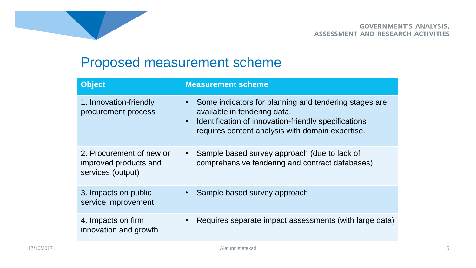

### Proposed measurement scheme

| <b>Object</b>                                                          | <b>Measurement scheme</b>                                                                                                                                                                                      |
|------------------------------------------------------------------------|----------------------------------------------------------------------------------------------------------------------------------------------------------------------------------------------------------------|
| 1. Innovation-friendly<br>procurement process                          | Some indicators for planning and tendering stages are<br>available in tendering data.<br>Identification of innovation-friendly specifications<br>$\bullet$<br>requires content analysis with domain expertise. |
| 2. Procurement of new or<br>improved products and<br>services (output) | Sample based survey approach (due to lack of<br>comprehensive tendering and contract databases)                                                                                                                |
| 3. Impacts on public<br>service improvement                            | Sample based survey approach                                                                                                                                                                                   |
| 4. Impacts on firm<br>innovation and growth                            | Requires separate impact assessments (with large data)                                                                                                                                                         |